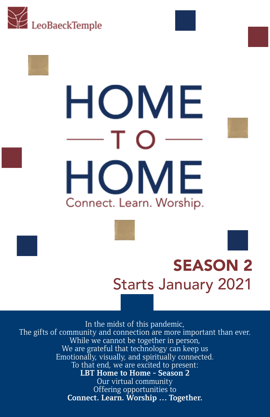



### SEASON 2 Starts January 2021

In the midst of this pandemic, The gifts of community and connection are more important than ever. While we cannot be together in person, We are grateful that technology can keep us Emotionally, visually, and spiritually connected. To that end, we are excited to present: **LBT Home to Home - Season 2** Our virtual community Offering opportunities to **Connect. Learn. Worship … Together.**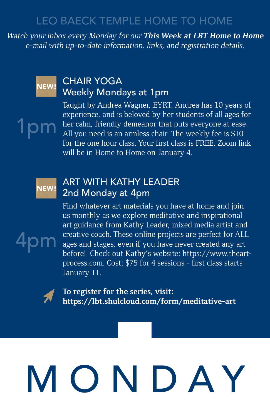Watch your inbox every Monday for our **This Week at LBT Home to Home** e-mail with up-to-date information, links, and registration details.



1pm

#### CHAIR YOGA Weekly Mondays at 1pm

Taught by Andrea Wagner, EYRT. Andrea has 10 years of experience, and is beloved by her students of all ages for her calm, friendly demeanor that puts everyone at ease. All you need is an armless chair The weekly fee is \$10 for the one hour class. Your first class is FREE. Zoom link will be in Home to Home on January 4.

#### NEW!

4pm

#### ART WITH KATHY LEADER 2nd Monday at 4pm

Find whatever art materials you have at home and join us monthly as we explore meditative and inspirational art guidance from Kathy Leader, mixed media artist and creative coach. These online projects are perfect for ALL ages and stages, even if you have never created any art before! Check out Kathy's website: https://www.theartprocess.com. Cost: \$75 for 4 sessions - first class starts January 11.



**To register for the series, visit: https://lbt.shulcloud.com/form/meditative-art**

## MONDAY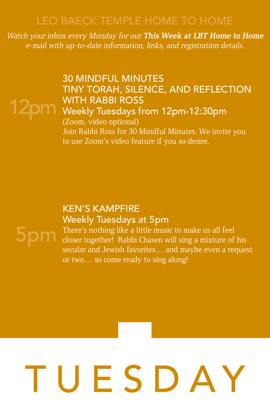Watch your inbox every Monday for our **This Week at LBT Home to Home** e-mail with up-to-date information, links, and registration details.

#### 30 MINDFUL MINUTES TINY TORAH, SILENCE, AND REFLECTION WITH RABBI ROSS

### 12pm WITH RABBI ROSS<br>12pm Weekly Tuesdays from 12pm-12:30pm (Zoom, video optional)

Join Rabbi Ross for 30 Mindful Minutes. We invite you to use Zoom's video feature if you so desire.

#### KEN'S KAMPFIRE Weekly Tuesdays at 5pm



There's nothing like a little music to make us all feel closer together! Rabbi Chasen will sing a mixture of his secular and Jewish favorites… and maybe even a request or two… so come ready to sing along!

## TUESDAY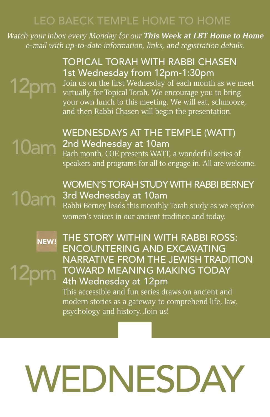Watch your inbox every Monday for our **This Week at LBT Home to Home** e-mail with up-to-date information, links, and registration details.

#### TOPICAL TORAH WITH RABBI CHASEN 1st Wednesday from 12pm-1:30pm

### 12pm

Join us on the first Wednesday of each month as we meet virtually for Topical Torah. We encourage you to bring your own lunch to this meeting. We will eat, schmooze, and then Rabbi Chasen will begin the presentation.

#### WEDNESDAYS AT THE TEMPLE (WATT) 2nd Wednesday at 10am

Each month, COE presents WATT, a wonderful series of speakers and programs for all to engage in. All are welcome.

### 10am

10am

12pm

#### WOMEN'S TORAH STUDY WITH RABBI BERNEY 3rd Wednesday at 10am

Rabbi Berney leads this monthly Torah study as we explore women's voices in our ancient tradition and today.

NEW!

#### THE STORY WITHIN WITH RABBI ROSS: ENCOUNTERING AND EXCAVATING NARRATIVE FROM THE JEWISH TRADITION TOWARD MEANING MAKING TODAY 4th Wednesday at 12pm

This accessible and fun series draws on ancient and modern stories as a gateway to comprehend life, law, psychology and history. Join us!

## WEDNESDAY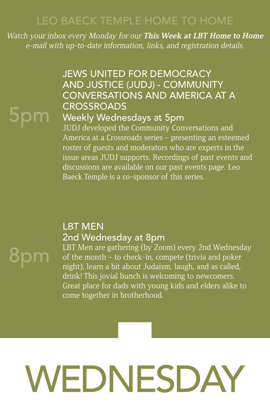Watch your inbox every Monday for our **This Week at LBT Home to Home** e-mail with up-to-date information, links, and registration details.

### 5pm

8pm

#### JEWS UNITED FOR DEMOCRACY AND JUSTICE (JUDJ) - COMMUNITY CONVERSATIONS AND AMERICA AT A **CROSSROADS**

#### Weekly Wednesdays at 5pm

JUDJ developed the Community Conversations and America at a Crossroads series – presenting an esteemed roster of guests and moderators who are experts in the issue areas JUDJ supports. Recordings of past events and discussions are available on our past events page. Leo Baeck Temple is a co-sponsor of this series.

#### LBT MEN 2nd Wednesday at 8pm

LBT Men are gathering (by Zoom) every 2nd Wednesday of the month – to check-in, compete (trivia and poker night), learn a bit about Judaism, laugh, and as called, drink! This jovial bunch is welcoming to newcomers. Great place for dads with young kids and elders alike to come together in brotherhood.

### WEDNESDAY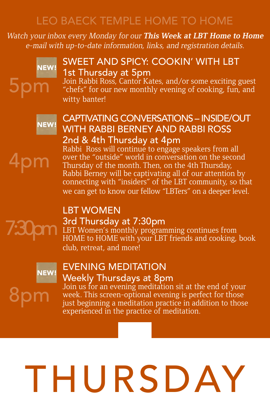Watch your inbox every Monday for our **This Week at LBT Home to Home** e-mail with up-to-date information, links, and registration details.



4pm

7:30pm

#### SWEET AND SPICY: COOKIN' WITH LBT 1st Thursday at 5pm

Join Rabbi Ross, Cantor Kates, and/or some exciting guest "chefs" for our new monthly evening of cooking, fun, and witty banter!



#### CAPTIVATING CONVERSATIONS – INSIDE/OUT WITH RABBI BERNEY AND RABBI ROSS 2nd & 4th Thursday at 4pm

Rabbi Ross will continue to engage speakers from all over the "outside" world in conversation on the second Thursday of the month. Then, on the 4th Thursday, Rabbi Berney will be captivating all of our attention by connecting with "insiders" of the LBT community, so that we can get to know our fellow "LBTers" on a deeper level.

### LBT WOMEN

#### 3rd Thursday at 7:30pm

LBT Women's monthly programming continues from HOME to HOME with your LBT friends and cooking, book club, retreat, and more!



#### EVENING MEDITATION Weekly Thursdays at 8pm

80I

Join us for an evening meditation sit at the end of your week. This screen-optional evening is perfect for those just beginning a meditation practice in addition to those experienced in the practice of meditation.

## THURSDAY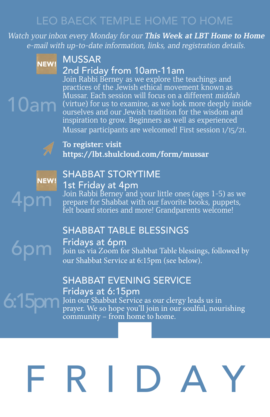Watch your inbox every Monday for our **This Week at LBT Home to Home** e-mail with up-to-date information, links, and registration details.



10am

#### MUSSAR

#### 2nd Friday from 10am-11am

Join Rabbi Berney as we explore the teachings and practices of the Jewish ethical movement known as Mussar. Each session will focus on a different middah (virtue) for us to examine, as we look more deeply inside ourselves and our Jewish tradition for the wisdom and inspiration to grow. Beginners as well as experienced Mussar participants are welcomed! First session 1/15/21.



#### **To register: visit https://lbt.shulcloud.com/form/mussar**



6pm

#### SHABBAT STORYTIME 1st Friday at 4pm

Join Rabbi Berney and your little ones (ages 1-5) as we prepare for Shabbat with our favorite books, puppets, felt board stories and more! Grandparents welcome!

#### SHABBAT TABLE BLESSINGS

#### Fridays at 6pm

Join us via Zoom for Shabbat Table blessings, followed by our Shabbat Service at 6:15pm (see below).

#### SHABBAT EVENING SERVICE Fridays at 6:15pm

Join our Shabbat Service as our clergy leads us in 6:15pm Triday's at 0.15pm<br>our Shabbat Service as our clergy leads us in<br>prayer. We so hope you'll join in our soulful, nourishing community – from home to home.

### RID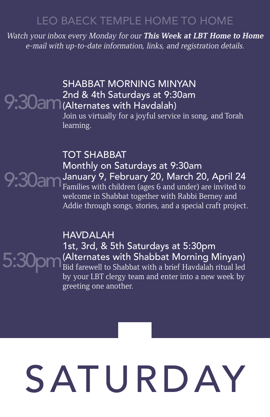Watch your inbox every Monday for our **This Week at LBT Home to Home** e-mail with up-to-date information, links, and registration details.

#### SHABBAT MORNING MINYAN 2nd & 4th Saturdays at 9:30am 9:30am <sup>Znd & 4th Saturdays at 9:3</sup><br>
9:30am (Alternates with Havdalah)

Join us virtually for a joyful service in song, and Torah learning.

TOT SHABBAT Monthly on Saturdays at 9:30am January 9, February 20, March 20, April 24 Families with children (ages 6 and under) are invited to welcome in Shabbat together with Rabbi Berney and Addie through songs, stories, and a special craft project. 9:30am

> HAVDALAH 1st, 3rd, & 5th Saturdays at 5:30pm (Alternates with Shabbat Morning Minyan) Bid farewell to Shabbat with a brief Havdalah ritual led by your LBT clergy team and enter into a new week by greeting one another.

5:30pm

# SATURDAY